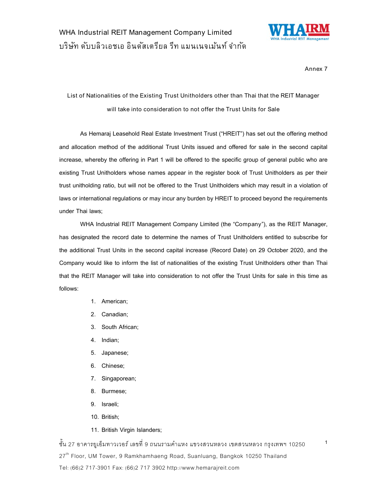

Annex 7

List of Nationalities of the Existing Trust Unitholders other than Thai that the REIT Manager will take into consideration to not offer the Trust Units for Sale

As Hemaraj Leasehold Real Estate Investment Trust ("HREIT") has set out the offering method and allocation method of the additional Trust Units issued and offered for sale in the second capital increase, whereby the offering in Part 1 will be offered to the specific group of general public who are existing Trust Unitholders whose names appear in the register book of Trust Unitholders as per their trust unitholding ratio, but will not be offered to the Trust Unitholders which may result in a violation of laws or international regulations or may incur any burden by HREIT to proceed beyond the requirements under Thai laws;

WHA Industrial REIT Management Company Limited (the "Company"), as the REIT Manager, has designated the record date to determine the names of Trust Unitholders entitled to subscribe for the additional Trust Units in the second capital increase (Record Date) on 29 October 2020, and the Company would like to inform the list of nationalities of the existing Trust Unitholders other than Thai that the REIT Manager will take into consideration to not offer the Trust Units for sale in this time as follows:

- 1. American;
- 2. Canadian;
- 3. South African;
- 4. Indian;
- 5. Japanese;
- 6. Chinese;
- 7. Singaporean;
- 8. Burmese;
- 9. Israeli;
- 10. British;
- 11. British Virgin Islanders;

ชั้น 27 อาคารยูเอ็มทาวเวอร์ เลขที่ 9 ถนนรามคำแหง แขวงสวนหลวง เขตสวนหลวง กรุงเทพฯ 10250 27<sup>th</sup> Floor, UM Tower, 9 Ramkhamhaeng Road, Suanluang, Bangkok 10250 Thailand Tel: (66)2 717-3901 Fax: (66)2 717 3902 http://www.hemarajreit.com 1